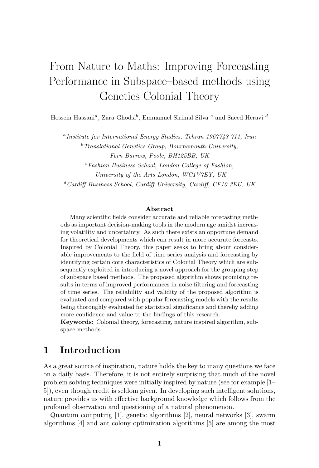# From Nature to Maths: Improving Forecasting Performance in Subspace–based methods using Genetics Colonial Theory

Hossein Hassani<sup>a</sup>, Zara Ghodsi<sup>b</sup>, Emmanuel Sirimal Silva<sup>c</sup> and Saeed Heravi<sup>d</sup>

<sup>a</sup> Institute for International Energy Studies, Tehran 1967743 711, Iran  $b$ <sup>b</sup> Translational Genetics Group, Bournemouth University, Fern Barrow, Poole, BH125BB, UK  $c$ Fashion Business School, London College of Fashion, University of the Arts London, WC1V7EY, UK  $d$  Cardiff Business School, Cardiff University, Cardiff, CF10 3EU, UK

#### Abstract

Many scientific fields consider accurate and reliable forecasting methods as important decision-making tools in the modern age amidst increasing volatility and uncertainty. As such there exists an opportune demand for theoretical developments which can result in more accurate forecasts. Inspired by Colonial Theory, this paper seeks to bring about considerable improvements to the field of time series analysis and forecasting by identifying certain core characteristics of Colonial Theory which are subsequently exploited in introducing a novel approach for the grouping step of subspace based methods. The proposed algorithm shows promising results in terms of improved performances in noise filtering and forecasting of time series. The reliability and validity of the proposed algorithm is evaluated and compared with popular forecasting models with the results being thoroughly evaluated for statistical significance and thereby adding more confidence and value to the findings of this research.

Keywords: Colonial theory, forecasting, nature inspired algorithm, subspace methods.

## 1 Introduction

As a great source of inspiration, nature holds the key to many questions we face on a daily basis. Therefore, it is not entirely surprising that much of the novel problem solving techniques were initially inspired by nature (see for example [1– 5]), even though credit is seldom given. In developing such intelligent solutions, nature provides us with effective background knowledge which follows from the profound observation and questioning of a natural phenomenon.

Quantum computing [1], genetic algorithms [2], neural networks [3], swarm algorithms [4] and ant colony optimization algorithms [5] are among the most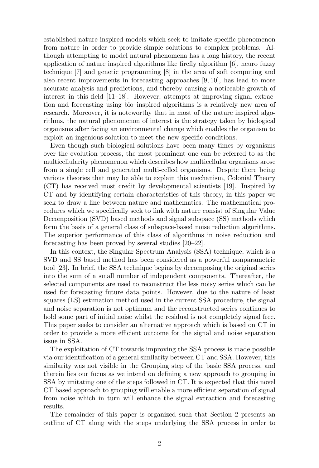established nature inspired models which seek to imitate specific phenomenon from nature in order to provide simple solutions to complex problems. Although attempting to model natural phenomena has a long history, the recent application of nature inspired algorithms like firefly algorithm [6], neuro fuzzy technique [7] and genetic programming [8] in the area of soft computing and also recent improvements in forecasting approaches [9, 10], has lead to more accurate analysis and predictions, and thereby causing a noticeable growth of interest in this field [11–18]. However, attempts at improving signal extraction and forecasting using bio–inspired algorithms is a relatively new area of research. Moreover, it is noteworthy that in most of the nature inspired algorithms, the natural phenomenon of interest is the strategy taken by biological organisms after facing an environmental change which enables the organism to exploit an ingenious solution to meet the new specific conditions.

Even though such biological solutions have been many times by organisms over the evolution process, the most prominent one can be referred to as the multicellularity phenomenon which describes how multicellular organisms arose from a single cell and generated multi-celled organisms. Despite there being various theories that may be able to explain this mechanism, Colonial Theory (CT) has received most credit by developmental scientists [19]. Inspired by CT and by identifying certain characteristics of this theory, in this paper we seek to draw a line between nature and mathematics. The mathematical procedures which we specifically seek to link with nature consist of Singular Value Decomposition (SVD) based methods and signal subspace (SS) methods which form the basis of a general class of subspace-based noise reduction algorithms. The superior performance of this class of algorithms in noise reduction and forecasting has been proved by several studies [20–22].

In this context, the Singular Spectrum Analysis (SSA) technique, which is a SVD and SS based method has been considered as a powerful nonparametric tool [23]. In brief, the SSA technique begins by decomposing the original series into the sum of a small number of independent components. Thereafter, the selected components are used to reconstruct the less noisy series which can be used for forecasting future data points. However, due to the nature of least squares (LS) estimation method used in the current SSA procedure, the signal and noise separation is not optimum and the reconstructed series continues to hold some part of initial noise whilst the residual is not completely signal free. This paper seeks to consider an alternative approach which is based on CT in order to provide a more efficient outcome for the signal and noise separation issue in SSA.

The exploitation of CT towards improving the SSA process is made possible via our identification of a general similarity between CT and SSA. However, this similarity was not visible in the Grouping step of the basic SSA process, and therein lies our focus as we intend on defining a new approach to grouping in SSA by imitating one of the steps followed in CT. It is expected that this novel CT based approach to grouping will enable a more efficient separation of signal from noise which in turn will enhance the signal extraction and forecasting results.

The remainder of this paper is organized such that Section 2 presents an outline of CT along with the steps underlying the SSA process in order to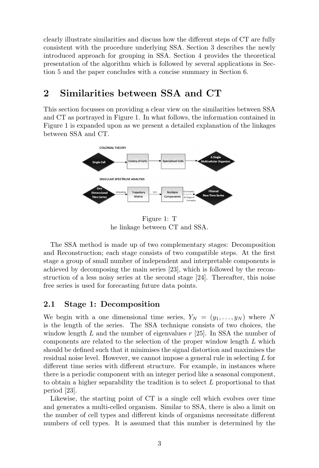clearly illustrate similarities and discuss how the different steps of CT are fully consistent with the procedure underlying SSA. Section 3 describes the newly introduced approach for grouping in SSA. Section 4 provides the theoretical presentation of the algorithm which is followed by several applications in Section 5 and the paper concludes with a concise summary in Section 6.

### 2 Similarities between SSA and CT

This section focusses on providing a clear view on the similarities between SSA and CT as portrayed in Figure 1. In what follows, the information contained in Figure 1 is expanded upon as we present a detailed explanation of the linkages between SSA and CT.



Figure 1: T he linkage between CT and SSA.

The SSA method is made up of two complementary stages: Decomposition and Reconstruction; each stage consists of two compatible steps. At the first stage a group of small number of independent and interpretable components is achieved by decomposing the main series [23], which is followed by the reconstruction of a less noisy series at the second stage [24]. Thereafter, this noise free series is used for forecasting future data points.

### 2.1 Stage 1: Decomposition

We begin with a one dimensional time series,  $Y_N = (y_1, \ldots, y_N)$  where N is the length of the series. The SSA technique consists of two choices, the window length  $L$  and the number of eigenvalues  $r$  [25]. In SSA the number of components are related to the selection of the proper window length L which should be defined such that it minimises the signal distortion and maximises the residual noise level. However, we cannot impose a general rule in selecting L for different time series with different structure. For example, in instances where there is a periodic component with an integer period like a seasonal component, to obtain a higher separability the tradition is to select L proportional to that period [23].

Likewise, the starting point of CT is a single cell which evolves over time and generates a multi-celled organism. Similar to SSA, there is also a limit on the number of cell types and different kinds of organisms necessitate different numbers of cell types. It is assumed that this number is determined by the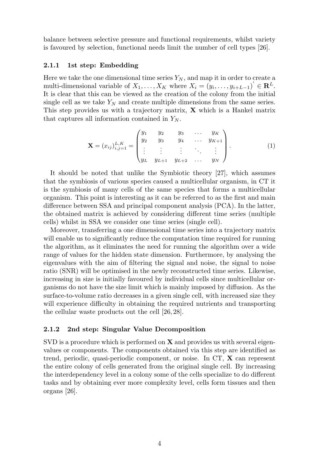balance between selective pressure and functional requirements, whilst variety is favoured by selection, functional needs limit the number of cell types [26].

#### 2.1.1 1st step: Embedding

Here we take the one dimensional time series  $Y_N$ , and map it in order to create a multi-dimensional variable of  $X_1, \ldots, X_K$  where  $X_i = (y_i, \ldots, y_{i+L-1})^{\prime} \in \mathbb{R}^L$ . It is clear that this can be viewed as the creation of the colony from the initial single cell as we take  $Y_N$  and create multiple dimensions from the same series. This step provides us with a trajectory matrix,  $\bf{X}$  which is a Hankel matrix that captures all information contained in  $Y_N$ .

$$
\mathbf{X} = (x_{ij})_{i,j=1}^{L,K} = \begin{pmatrix} y_1 & y_2 & y_3 & \dots & y_K \\ y_2 & y_3 & y_4 & \dots & y_{K+1} \\ \vdots & \vdots & \vdots & \ddots & \vdots \\ y_L & y_{L+1} & y_{L+2} & \dots & y_N \end{pmatrix}.
$$
 (1)

It should be noted that unlike the Symbiotic theory [27], which assumes that the symbiosis of various species caused a multicellular organism, in CT it is the symbiosis of many cells of the same species that forms a multicellular organism. This point is interesting as it can be referred to as the first and main difference between SSA and principal component analysis (PCA). In the latter, the obtained matrix is achieved by considering different time series (multiple cells) whilst in SSA we consider one time series (single cell).

Moreover, transferring a one dimensional time series into a trajectory matrix will enable us to significantly reduce the computation time required for running the algorithm, as it eliminates the need for running the algorithm over a wide range of values for the hidden state dimension. Furthermore, by analysing the eigenvalues with the aim of filtering the signal and noise, the signal to noise ratio (SNR) will be optimised in the newly reconstructed time series. Likewise, increasing in size is initially favoured by individual cells since multicellular organisms do not have the size limit which is mainly imposed by diffusion. As the surface-to-volume ratio decreases in a given single cell, with increased size they will experience difficulty in obtaining the required nutrients and transporting the cellular waste products out the cell [26, 28].

#### 2.1.2 2nd step: Singular Value Decomposition

 $SVD$  is a procedure which is performed on  $X$  and provides us with several eigenvalues or components. The components obtained via this step are identified as trend, periodic, quasi-periodic component, or noise. In  $CT$ ,  $X$  can represent the entire colony of cells generated from the original single cell. By increasing the interdependency level in a colony some of the cells specialize to do different tasks and by obtaining ever more complexity level, cells form tissues and then organs [26].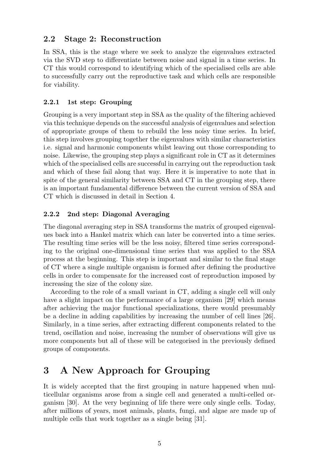### 2.2 Stage 2: Reconstruction

In SSA, this is the stage where we seek to analyze the eigenvalues extracted via the SVD step to differentiate between noise and signal in a time series. In CT this would correspond to identifying which of the specialised cells are able to successfully carry out the reproductive task and which cells are responsible for viability.

### 2.2.1 1st step: Grouping

Grouping is a very important step in SSA as the quality of the filtering achieved via this technique depends on the successful analysis of eigenvalues and selection of appropriate groups of them to rebuild the less noisy time series. In brief, this step involves grouping together the eigenvalues with similar characteristics i.e. signal and harmonic components whilst leaving out those corresponding to noise. Likewise, the grouping step plays a significant role in CT as it determines which of the specialised cells are successful in carrying out the reproduction task and which of these fail along that way. Here it is imperative to note that in spite of the general similarity between SSA and CT in the grouping step, there is an important fundamental difference between the current version of SSA and CT which is discussed in detail in Section 4.

### 2.2.2 2nd step: Diagonal Averaging

The diagonal averaging step in SSA transforms the matrix of grouped eigenvalues back into a Hankel matrix which can later be converted into a time series. The resulting time series will be the less noisy, filtered time series corresponding to the original one-dimensional time series that was applied to the SSA process at the beginning. This step is important and similar to the final stage of CT where a single multiple organism is formed after defining the productive cells in order to compensate for the increased cost of reproduction imposed by increasing the size of the colony size.

According to the role of a small variant in CT, adding a single cell will only have a slight impact on the performance of a large organism [29] which means after achieving the major functional specializations, there would presumably be a decline in adding capabilities by increasing the number of cell lines [26]. Similarly, in a time series, after extracting different components related to the trend, oscillation and noise, increasing the number of observations will give us more components but all of these will be categorised in the previously defined groups of components.

## 3 A New Approach for Grouping

It is widely accepted that the first grouping in nature happened when multicellular organisms arose from a single cell and generated a multi-celled organism [30]. At the very beginning of life there were only single cells. Today, after millions of years, most animals, plants, fungi, and algae are made up of multiple cells that work together as a single being [31].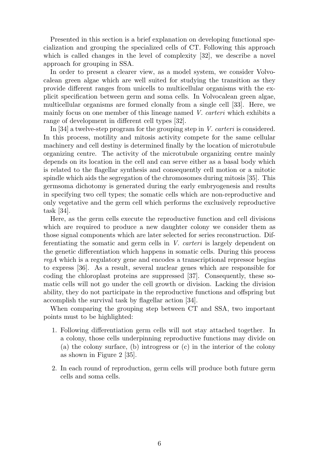Presented in this section is a brief explanation on developing functional specialization and grouping the specialized cells of CT. Following this approach which is called changes in the level of complexity [32], we describe a novel approach for grouping in SSA.

In order to present a clearer view, as a model system, we consider Volvocalean green algae which are well suited for studying the transition as they provide different ranges from unicells to multicellular organisms with the explicit specification between germ and soma cells. In Volvocalean green algae, multicellular organisms are formed clonally from a single cell [33]. Here, we mainly focus on one member of this lineage named V. carteri which exhibits a range of development in different cell types [32].

In [34] a twelve-step program for the grouping step in V. carteri is considered. In this process, motility and mitosis activity compete for the same cellular machinery and cell destiny is determined finally by the location of microtubule organizing centre. The activity of the microtubule organizing centre mainly depends on its location in the cell and can serve either as a basal body which is related to the flagellar synthesis and consequently cell motion or a mitotic spindle which aids the segregation of the chromosomes during mitosis [35]. This germsoma dichotomy is generated during the early embryogenesis and results in specifying two cell types; the somatic cells which are non-reproductive and only vegetative and the germ cell which performs the exclusively reproductive task [34].

Here, as the germ cells execute the reproductive function and cell divisions which are required to produce a new daughter colony we consider them as those signal components which are later selected for series reconstruction. Differentiating the somatic and germ cells in V. carteri is largely dependent on the genetic differentiation which happens in somatic cells. During this process regA which is a regulatory gene and encodes a transcriptional repressor begins to express [36]. As a result, several nuclear genes which are responsible for coding the chloroplast proteins are suppressed [37]. Consequently, these somatic cells will not go under the cell growth or division. Lacking the division ability, they do not participate in the reproductive functions and offspring but accomplish the survival task by flagellar action [34].

When comparing the grouping step between CT and SSA, two important points must to be highlighted:

- 1. Following differentiation germ cells will not stay attached together. In a colony, those cells underpinning reproductive functions may divide on (a) the colony surface, (b) introgress or (c) in the interior of the colony as shown in Figure 2 [35].
- 2. In each round of reproduction, germ cells will produce both future germ cells and soma cells.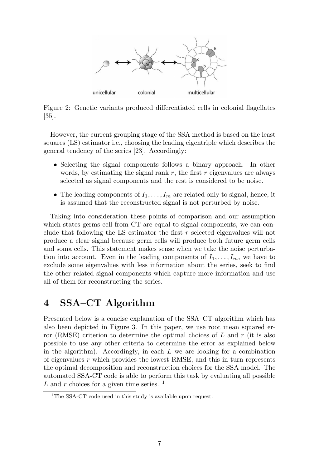

Figure 2: Genetic variants produced differentiated cells in colonial flagellates [35].

However, the current grouping stage of the SSA method is based on the least squares (LS) estimator i.e., choosing the leading eigentriple which describes the general tendency of the series [23]. Accordingly:

- Selecting the signal components follows a binary approach. In other words, by estimating the signal rank  $r$ , the first  $r$  eigenvalues are always selected as signal components and the rest is considered to be noise.
- The leading components of  $I_1, \ldots, I_m$  are related only to signal, hence, it is assumed that the reconstructed signal is not perturbed by noise.

Taking into consideration these points of comparison and our assumption which states germs cell from CT are equal to signal components, we can conclude that following the LS estimator the first  $r$  selected eigenvalues will not produce a clear signal because germ cells will produce both future germ cells and soma cells. This statement makes sense when we take the noise perturbation into account. Even in the leading components of  $I_1, \ldots, I_m$ , we have to exclude some eigenvalues with less information about the series, seek to find the other related signal components which capture more information and use all of them for reconstructing the series.

# 4 SSA–CT Algorithm

Presented below is a concise explanation of the SSA–CT algorithm which has also been depicted in Figure 3. In this paper, we use root mean squared error (RMSE) criterion to determine the optimal choices of  $L$  and  $r$  (it is also possible to use any other criteria to determine the error as explained below in the algorithm). Accordingly, in each  $L$  we are looking for a combination of eigenvalues  $r$  which provides the lowest RMSE, and this in turn represents the optimal decomposition and reconstruction choices for the SSA model. The automated SSA-CT code is able to perform this task by evaluating all possible L and r choices for a given time series.  $<sup>1</sup>$ </sup>

<sup>&</sup>lt;sup>1</sup>The SSA-CT code used in this study is available upon request.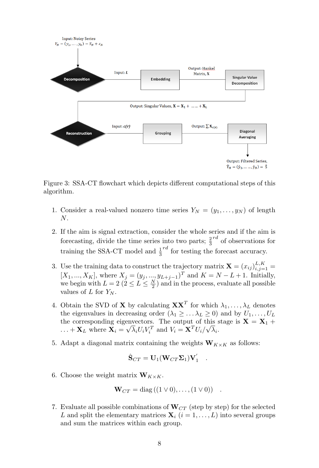

Figure 3: SSA-CT flowchart which depicts different computational steps of this algorithm.

- 1. Consider a real-valued nonzero time series  $Y_N = (y_1, \ldots, y_N)$  of length N.
- 2. If the aim is signal extraction, consider the whole series and if the aim is forecasting, divide the time series into two parts;  $\frac{2}{3}^{rd}$  of observations for training the SSA-CT model and  $\frac{1}{3}^{rd}$  for testing the forecast accuracy.
- 3. Use the training data to construct the trajectory matrix  $\mathbf{X} = (x_{ij})_{i,j=1}^{L,K}$  $[X_1, ..., X_K]$ , where  $X_j = (y_j, ..., y_{L+j-1})^T$  and  $K = N - L + 1$ . Initially, we begin with  $L = 2$   $(2 \le L \le \frac{N}{2})$  and in the process, evaluate all possible values of  $L$  for  $Y_N$ .
- 4. Obtain the SVD of **X** by calculating  $\mathbf{X} \mathbf{X}^T$  for which  $\lambda_1, \ldots, \lambda_L$  denotes the eigenvalues in decreasing order  $(\lambda_1 \geq \ldots \lambda_L \geq 0)$  and by  $U_1, \ldots, U_L$ the corresponding eigenvectors. The output of this stage is  $X = X_1 +$  $\dots + \mathbf{X}_L$  where  $\mathbf{X}_i =$ √ vectors. The output of the  $\overline{\lambda}_i U_i V_i^T$  and  $V_i = \mathbf{X}^T U_i / \sqrt{\frac{1}{\lambda}}$  $\lambda_i.$
- 5. Adapt a diagonal matrix containing the weights  $W_{K\times K}$  as follows:

$$
\hat{\textbf{S}}_{CT}=\textbf{U}_1(\textbf{W}_{CT}\boldsymbol{\Sigma}_1)\textbf{V}_1^{'}
$$

.

6. Choose the weight matrix  $W_{K \times K}$ .

$$
\mathbf{W}_{CT} = \text{diag}((1 \vee 0), \dots, (1 \vee 0)) .
$$

7. Evaluate all possible combinations of  $W_{CT}$  (step by step) for the selected L and split the elementary matrices  $\mathbf{X}_i$   $(i = 1, \ldots, L)$  into several groups and sum the matrices within each group.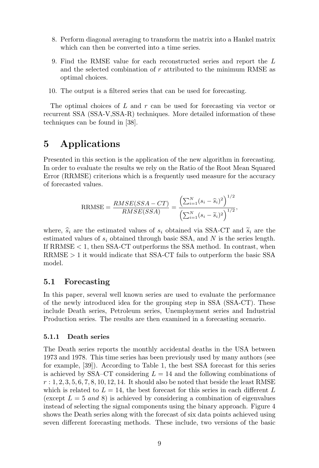- 8. Perform diagonal averaging to transform the matrix into a Hankel matrix which can then be converted into a time series.
- 9. Find the RMSE value for each reconstructed series and report the L and the selected combination of  $r$  attributed to the minimum RMSE as optimal choices.
- 10. The output is a filtered series that can be used for forecasting.

The optimal choices of  $L$  and  $r$  can be used for forecasting via vector or recurrent SSA (SSA-V,SSA-R) techniques. More detailed information of these techniques can be found in [38].

## 5 Applications

Presented in this section is the application of the new algorithm in forecasting. In order to evaluate the results we rely on the Ratio of the Root Mean Squared Error (RRMSE) criterions which is a frequently used measure for the accuracy of forecasted values.

$$
RRMSE = \frac{RMSE(SSA - CT)}{RMSE(SSA)} = \frac{\left(\sum_{i=1}^{N} (s_i - \hat{s}_i)^2\right)^{1/2}}{\left(\sum_{i=1}^{N} (s_i - \tilde{s}_i)^2\right)^{1/2}},
$$

where,  $\hat{s}_i$  are the estimated values of  $s_i$  obtained via SSA-CT and  $\tilde{s}_i$  are the estimated values of  $s_i$  obtained through basic SSA, and N is the series length. If RRMSE  $\lt 1$ , then SSA-CT outperforms the SSA method. In contrast, when  $RRMSE > 1$  it would indicate that  $SSA-CT$  fails to outperform the basic  $SSA$ model.

### 5.1 Forecasting

In this paper, several well known series are used to evaluate the performance of the newly introduced idea for the grouping step in SSA (SSA-CT). These include Death series, Petroleum series, Unemployment series and Industrial Production series. The results are then examined in a forecasting scenario.

#### 5.1.1 Death series

The Death series reports the monthly accidental deaths in the USA between 1973 and 1978. This time series has been previously used by many authors (see for example, [39]). According to Table 1, the best SSA forecast for this series is achieved by SSA–CT considering  $L = 14$  and the following combinations of  $r: 1, 2, 3, 5, 6, 7, 8, 10, 12, 14$ . It should also be noted that beside the least RMSE which is related to  $L = 14$ , the best forecast for this series in each different L (except  $L = 5$  and 8) is achieved by considering a combination of eigenvalues instead of selecting the signal components using the binary approach. Figure 4 shows the Death series along with the forecast of six data points achieved using seven different forecasting methods. These include, two versions of the basic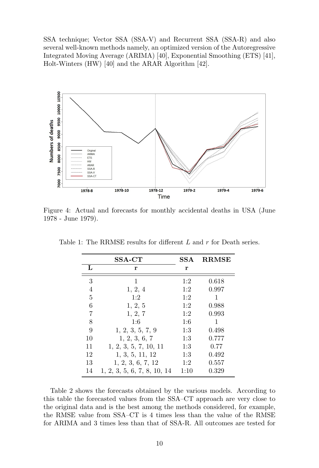SSA technique; Vector SSA (SSA-V) and Recurrent SSA (SSA-R) and also several well-known methods namely, an optimized version of the Autoregressive Integrated Moving Average (ARIMA) [40], Exponential Smoothing (ETS) [41], Holt-Winters (HW) [40] and the ARAR Algorithm [42].



Figure 4: Actual and forecasts for monthly accidental deaths in USA (June 1978 - June 1979).

|    | SSA-CT                      | SS A | <b>RRMSE</b> |
|----|-----------------------------|------|--------------|
| L  | r                           | r    |              |
| 3  | 1                           | 1:2  | 0.618        |
| 4  | 1, 2, 4                     | 1:2  | 0.997        |
| 5  | 1:2                         | 1:2  | 1            |
| 6  | 1, 2, 5                     | 1:2  | 0.988        |
| 7  | 1, 2, 7                     | 1:2  | 0.993        |
| 8  | 1:6                         | 1:6  | 1            |
| 9  | 1, 2, 3, 5, 7, 9            | 1:3  | 0.498        |
| 10 | 1, 2, 3, 6, 7               | 1:3  | 0.777        |
| 11 | 1, 2, 3, 5, 7, 10, 11       | 1:3  | 0.77         |
| 12 | 1, 3, 5, 11, 12             | 1:3  | 0.492        |
| 13 | 1, 2, 3, 6, 7, 12           | 1:2  | 0.557        |
| 14 | 1, 2, 3, 5, 6, 7, 8, 10, 14 | 1:10 | 0.329        |

Table 1: The RRMSE results for different L and r for Death series.

Table 2 shows the forecasts obtained by the various models. According to this table the forecasted values from the SSA–CT approach are very close to the original data and is the best among the methods considered, for example, the RMSE value from SSA–CT is 4 times less than the value of the RMSE for ARIMA and 3 times less than that of SSA-R. All outcomes are tested for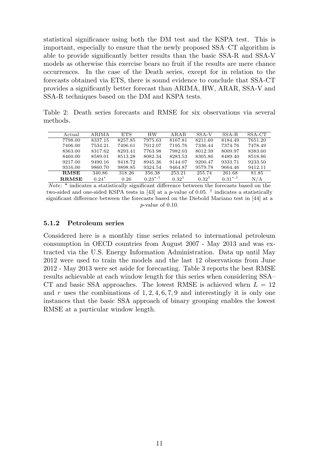statistical significance using both the DM test and the KSPA test. This is important, especially to ensure that the newly proposed SSA–CT algorithm is able to provide significantly better results than the basic SSA-R and SSA-V models as otherwise this exercise bears no fruit if the results are mere chance occurrences. In the case of the Death series, except for in relation to the forecasts obtained via ETS, there is sound evidence to conclude that SSA-CT provides a significantly better forecast than ARIMA, HW, ARAR, SSA-V and SSA-R techniques based on the DM and KSPA tests.

Table 2: Death series forecasts and RMSE for six observations via several methods.

| Actual       | <b>ARIMA</b> | <b>ETS</b> | <b>HW</b>    | ARAR             | SSA-V            | $SSA-R$      | SSA-CT  |
|--------------|--------------|------------|--------------|------------------|------------------|--------------|---------|
| 7798.00      | 8337.15      | 8257.85    | 7975.63      | 8167.81          | 8211.60          | 8184.49      | 7651.20 |
| 7406.00      | 7534.21      | 7496.61    | 7012.07      | 7195.76          | 7336.44          | 7374.76      | 7478.49 |
| 8363.00      | 8317.62      | 8293.41    | 7763.98      | 7982.03          | 8012.39          | 8009.97      | 8383.60 |
| 8460.00      | 8589.01      | 8513.28    | 8082.34      | 8283.53          | 8305.86          | 8489.40      | 8518.86 |
| 9217.00      | 9490.16      | 9418.72    | 8945.36      | 9144.07          | 9200.47          | 9333.71      | 9233.50 |
| 9316.00      | 9860.70      | 9898.85    | 9324.54      | 9464.87          | 9579.78          | 9664.46      | 9412.11 |
| <b>RMSE</b>  | 340.86       | 318.26     | 356.38       | 253.21           | 255.74           | 261.68       | 81.85   |
| <b>RRMSE</b> | $0.24*$      | 0.26       | $0.23^{*,+}$ | $0.32^{\dagger}$ | $0.32^{\dagger}$ | $0.31^{*,+}$ | N/A     |

Note: \* indicates a statistically significant difference between the forecasts based on the two-sided and one-sided KSPA tests in [43] at a p-value of 0.05.  $\dagger$  indicates a statistically significant difference between the forecasts based on the Diebold Mariano test in [44] at a p-value of 0.10.

#### 5.1.2 Petroleum series

Considered here is a monthly time series related to international petroleum consumption in OECD countries from August 2007 - May 2013 and was extracted via the U.S. Energy Information Administration. Data up until May 2012 were used to train the models and the last 12 observations from June 2012 - May 2013 were set aside for forecasting. Table 3 reports the best RMSE results achievable at each window length for this series when considering SSA– CT and basic SSA approaches. The lowest RMSE is achieved when  $L = 12$ and r uses the combinations of  $1, 2, 4, 6, 7, 9$  and interestingly it is only one instances that the basic SSA approach of binary grouping enables the lowest RMSE at a particular window length.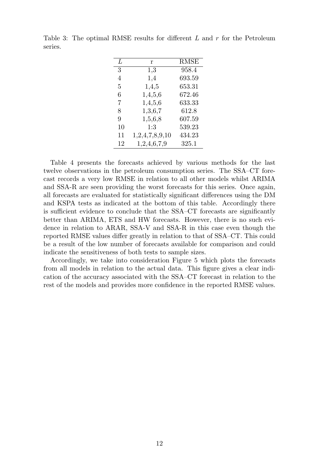| L  | r              | <b>RMSE</b> |
|----|----------------|-------------|
| 3  | 1.3            | 958.4       |
| 4  | 1,4            | 693.59      |
| 5  | 1,4,5          | 653.31      |
| 6  | 1,4,5,6        | 672.46      |
| 7  | 1,4,5,6        | 633.33      |
| 8  | 1,3,6,7        | 612.8       |
| 9  | 1,5,6,8        | 607.59      |
| 10 | 1:3            | 539.23      |
| 11 | 1,2,4,7,8,9,10 | 434.23      |
| 12 | 1,2,4,6,7,9    | 325.1       |

Table 3: The optimal RMSE results for different  $L$  and  $r$  for the Petroleum series.

Table 4 presents the forecasts achieved by various methods for the last twelve observations in the petroleum consumption series. The SSA–CT forecast records a very low RMSE in relation to all other models whilst ARIMA and SSA-R are seen providing the worst forecasts for this series. Once again, all forecasts are evaluated for statistically significant differences using the DM and KSPA tests as indicated at the bottom of this table. Accordingly there is sufficient evidence to conclude that the SSA–CT forecasts are significantly better than ARIMA, ETS and HW forecasts. However, there is no such evidence in relation to ARAR, SSA-V and SSA-R in this case even though the reported RMSE values differ greatly in relation to that of SSA–CT. This could be a result of the low number of forecasts available for comparison and could indicate the sensitiveness of both tests to sample sizes.

Accordingly, we take into consideration Figure 5 which plots the forecasts from all models in relation to the actual data. This figure gives a clear indication of the accuracy associated with the SSA–CT forecast in relation to the rest of the models and provides more confidence in the reported RMSE values.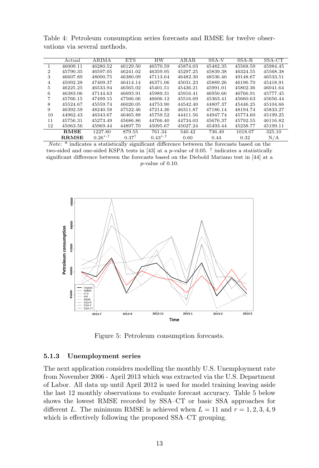|    | Actual       | ARIMA        | <b>ETS</b>       | <b>HW</b>    | <b>ARAR</b> | $SSA-V$  | $SSA-R$  | SSA-CT   |
|----|--------------|--------------|------------------|--------------|-------------|----------|----------|----------|
|    | 46009.11     | 46280.52     | 46129.50         | 46570.59     | 45874.03    | 45482.35 | 45568.59 | 45984.45 |
| 2  | 45790.35     | 46597.05     | 46241.02         | 46359.95     | 45297.25    | 45839.38 | 46324.55 | 45568.38 |
| 3  | 46607.89     | 48000.75     | 46380.09         | 47113.64     | 46482.30    | 48536.40 | 49148.67 | 46533.51 |
| 4  | 45092.28     | 47409.37     | 46414.14         | 46371.06     | 45031.23    | 45889.26 | 46196.70 | 45418.91 |
| 5  | 46225.25     | 46533.94     | 46565.02         | 45401.51     | 45436.21    | 45991.01 | 45802.36 | 46041.64 |
| 6  | 46383.06     | 47144.63     | 46693.91         | 45989.31     | 45916.41    | 46950.66 | 46766.91 | 45777.45 |
|    | 45766.15     | 47499.15     | 47566.06         | 46606.12     | 45516.69    | 45363.41 | 45660.63 | 45656.44 |
| 8  | 45524.67     | 45559.74     | 46020.05         | 44753.90     | 44542.40    | 44807.37 | 45446.25 | 45104.66 |
| 9  | 46392.59     | 48240.58     | 47522.46         | 47214.36     | 46311.87    | 47186.14 | 48194.74 | 45833.27 |
| 10 | 44962.43     | 46343.67     | 46465.88         | 45759.52     | 44411.56    | 44947.74 | 45774.60 | 45199.25 |
| 11 | 45756.31     | 45273.49     | 45686.86         | 44766.40     | 44734.03    | 45676.37 | 45792.55 | 46116.82 |
| 12 | 45063.56     | 45969.44     | 44897.70         | 45095.67     | 45027.24    | 45493.44 | 45238.77 | 45199.11 |
|    | <b>RMSE</b>  | 1227.80      | 879.55           | 761.34       | 540.42      | 736.49   | 1018.07  | 325.10   |
|    | <b>RRMSE</b> | $0.26^{*,+}$ | $0.37^{\dagger}$ | $0.43^{*,+}$ | 0.60        | 0.44     | 0.32     | N/A      |

Table 4: Petroleum consumption series forecasts and RMSE for twelve observations via several methods.

Note: \* indicates a statistically significant difference between the forecasts based on the two-sided and one-sided KSPA tests in [43] at a p-value of 0.05.  $\dagger$  indicates a statistically significant difference between the forecasts based on the Diebold Mariano test in [44] at a p-value of 0.10.



Figure 5: Petroleum consumption forecasts.

#### 5.1.3 Unemployment series

The next application considers modelling the monthly U.S. Unemployment rate from November 2006 - April 2013 which was extracted via the U.S. Department of Labor. All data up until April 2012 is used for model training leaving aside the last 12 monthly observations to evaluate forecast accuracy. Table 5 below shows the lowest RMSE recorded by SSA–CT or basic SSA approaches for different L. The minimum RMSE is achieved when  $L = 11$  and  $r = 1, 2, 3, 4, 9$ which is effectively following the proposed SSA–CT grouping.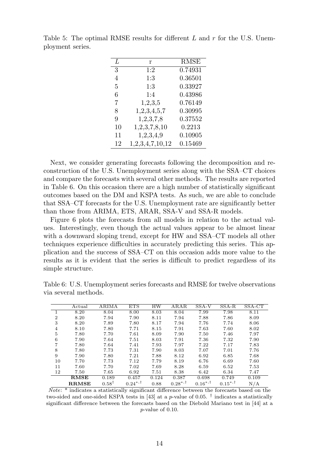| L  | r               | <b>RMSE</b> |
|----|-----------------|-------------|
| 3  | 1:2             | 0.74931     |
| 4  | 1:3             | 0.36501     |
| 5  | 1:3             | 0.33927     |
| 6  | 1:4             | 0.43986     |
| 7  | 1,2,3,5         | 0.76149     |
| 8  | 1,2,3,4,5,7     | 0.30995     |
| 9  | 1,2,3,7,8       | 0.37552     |
| 10 | 1,2,3,7,8,10    | 0.2213      |
| 11 | 1,2,3,4,9       | 0.10905     |
| 12 | 1,2,3,4,7,10,12 | 0.15469     |

Table 5: The optimal RMSE results for different L and r for the U.S. Unemployment series.

Next, we consider generating forecasts following the decomposition and reconstruction of the U.S. Unemployment series along with the SSA–CT choices and compare the forecasts with several other methods. The results are reported in Table 6. On this occasion there are a high number of statistically significant outcomes based on the DM and KSPA tests. As such, we are able to conclude that SSA–CT forecasts for the U.S. Unemployment rate are significantly better than those from ARIMA, ETS, ARAR, SSA-V and SSA-R models.

Figure 6 plots the forecasts from all models in relation to the actual values. Interestingly, even though the actual values appear to be almost linear with a downward sloping trend, except for HW and SSA–CT models all other techniques experience difficulties in accurately predicting this series. This application and the success of SSA–CT on this occasion adds more value to the results as it is evident that the series is difficult to predict regardless of its simple structure.

|                | Actual       | <b>ARIMA</b>     | <b>ETS</b>   | HW    | ARAR         | SSA-V        | $SSA-R$      | SSA-CT |
|----------------|--------------|------------------|--------------|-------|--------------|--------------|--------------|--------|
|                | 8.20         | 8.04             | 8.00         | 8.03  | 8.04         | 7.99         | 7.98         | 8.11   |
| $\overline{2}$ | 8.20         | 7.94             | 7.90         | 8.11  | 7.94         | 7.88         | 7.86         | 8.09   |
| 3              | 8.20         | 7.89             | 7.80         | 8.17  | 7.94         | 7.76         | 7.74         | 8.06   |
| $\overline{4}$ | 8.10         | 7.80             | 7.71         | 8.15  | 7.91         | 7.63         | 7.60         | 8.02   |
| 5              | 7.80         | 7.70             | 7.61         | 8.09  | 7.90         | 7.50         | 7.46         | 7.97   |
| 6              | 7.90         | 7.64             | 7.51         | 8.03  | 7.91         | 7.36         | 7.32         | 7.90   |
| 7              | 7.80         | 7.64             | 7.41         | 7.93  | 7.97         | 7.22         | 7.17         | 7.83   |
| 8              | 7.80         | 7.73             | 7.31         | 7.90  | 8.03         | 7.07         | 7.01         | 7.76   |
| 9              | 7.90         | 7.80             | 7.21         | 7.88  | 8.12         | 6.92         | 6.85         | 7.68   |
| 10             | 7.70         | 7.73             | 7.12         | 7.79  | 8.19         | 6.76         | 6.69         | 7.60   |
| 11             | 7.60         | 7.70             | 7.02         | 7.69  | 8.28         | 6.59         | 6.52         | 7.53   |
| 12             | 7.50         | 7.65             | 6.92         | 7.51  | 8.38         | 6.42         | 6.34         | 7.47   |
|                | <b>RMSE</b>  | 0.189            | 0.457        | 0.124 | 0.387        | 0.698        | 0.749        | 0.109  |
|                | <b>RRMSE</b> | $0.58^{\dagger}$ | $0.24^{*,+}$ | 0.88  | $0.28^{*,+}$ | $0.16^{*,+}$ | $0.15^{*,+}$ | N/A    |

Table 6: U.S. Unemployment series forecasts and RMSE for twelve observations via several methods.

 $Note: * indicates a statistically significant difference between the forecasts based on the$ two-sided and one-sided KSPA tests in [43] at a p-value of 0.05. † indicates a statistically significant difference between the forecasts based on the Diebold Mariano test in [44] at a p-value of 0.10.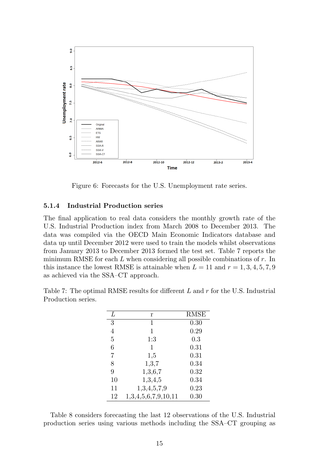

Figure 6: Forecasts for the U.S. Unemployment rate series.

#### 5.1.4 Industrial Production series

The final application to real data considers the monthly growth rate of the U.S. Industrial Production index from March 2008 to December 2013. The data was compiled via the OECD Main Economic Indicators database and data up until December 2012 were used to train the models whilst observations from January 2013 to December 2013 formed the test set. Table 7 reports the minimum RMSE for each  $L$  when considering all possible combinations of  $r$ . In this instance the lowest RMSE is attainable when  $L = 11$  and  $r = 1, 3, 4, 5, 7, 9$ as achieved via the SSA–CT approach.

Table 7: The optimal RMSE results for different  $L$  and  $r$  for the U.S. Industrial Production series.

| L  | r                   | RMSE |
|----|---------------------|------|
| 3  | 1                   | 0.30 |
| 4  | 1                   | 0.29 |
| 5  | 1:3                 | 0.3  |
| 6  | 1                   | 0.31 |
| 7  | 1,5                 | 0.31 |
| 8  | 1,3,7               | 0.34 |
| 9  | 1,3,6,7             | 0.32 |
| 10 | 1,3,4,5             | 0.34 |
| 11 | 1,3,4,5,7,9         | 0.23 |
| 12 | 1,3,4,5,6,7,9,10,11 | 0.30 |

Table 8 considers forecasting the last 12 observations of the U.S. Industrial production series using various methods including the SSA–CT grouping as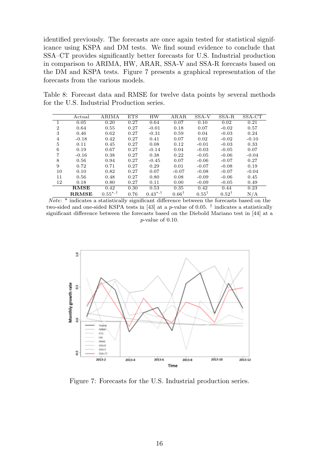identified previously. The forecasts are once again tested for statistical significance using KSPA and DM tests. We find sound evidence to conclude that SSA–CT provides significantly better forecasts for U.S. Industrial production in comparison to ARIMA, HW, ARAR, SSA-V and SSA-R forecasts based on the DM and KSPA tests. Figure 7 presents a graphical representation of the forecasts from the various models.

Table 8: Forecast data and RMSE for twelve data points by several methods for the U.S. Industrial Production series.

|                | Actual       | ARIMA        | <b>ETS</b> | <b>HW</b>    | ARAR             | SSA-V            | $SSA-R$          | SSA-CT  |
|----------------|--------------|--------------|------------|--------------|------------------|------------------|------------------|---------|
|                | 0.05         | 0.20         | 0.27       | 0.64         | 0.07             | 0.10             | 0.02             | 0.21    |
| $\overline{2}$ | 0.64         | 0.55         | 0.27       | $-0.01$      | 0.18             | 0.07             | $-0.02$          | 0.57    |
| 3              | 0.46         | 0.62         | 0.27       | $-0.31$      | 0.59             | 0.04             | $-0.03$          | 0.24    |
| $\overline{4}$ | $-0.18$      | 0.42         | 0.27       | 0.41         | 0.07             | 0.02             | $-0.02$          | $-0.10$ |
| 5              | 0.11         | 0.45         | 0.27       | 0.08         | 0.12             | $-0.01$          | $-0.03$          | 0.33    |
| 6              | 0.19         | 0.67         | 0.27       | $-0.14$      | 0.04             | $-0.03$          | $-0.05$          | 0.07    |
| 7              | $-0.16$      | 0.38         | 0.27       | 0.38         | 0.22             | $-0.05$          | $-0.06$          | $-0.04$ |
| 8              | 0.56         | 0.94         | 0.27       | $-0.45$      | 0.07             | $-0.06$          | $-0.07$          | 0.27    |
| 9              | 0.72         | 0.71         | 0.27       | 0.29         | 0.01             | $-0.07$          | $-0.08$          | 0.19    |
| 10             | 0.10         | 0.82         | 0.27       | 0.07         | $-0.07$          | $-0.08$          | $-0.07$          | $-0.04$ |
| 11             | 0.56         | 0.48         | 0.27       | 0.80         | 0.08             | $-0.09$          | $-0.06$          | 0.45    |
| 12             | 0.18         | 0.80         | 0.27       | 0.11         | 0.00             | $-0.09$          | $-0.05$          | 0.49    |
|                | <b>RMSE</b>  | 0.42         | 0.30       | 0.53         | 0.35             | 0.42             | 0.44             | 0.23    |
|                | <b>RRMSE</b> | $0.55^{*,+}$ | 0.76       | $0.43^{*,+}$ | $0.66^{\dagger}$ | $0.55^{\dagger}$ | $0.52^{\dagger}$ | N/A     |

Note: \* indicates a statistically significant difference between the forecasts based on the two-sided and one-sided KSPA tests in [43] at a p-value of 0.05. † indicates a statistically significant difference between the forecasts based on the Diebold Mariano test in [44] at a p-value of 0.10.



Figure 7: Forecasts for the U.S. Industrial production series.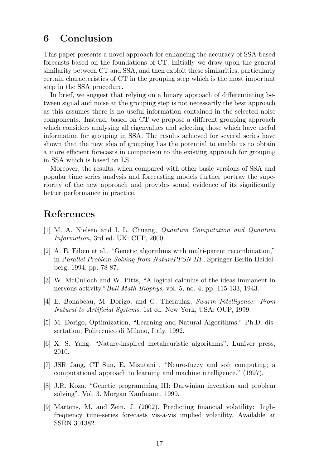### 6 Conclusion

This paper presents a novel approach for enhancing the accuracy of SSA-based forecasts based on the foundations of CT. Initially we draw upon the general similarity between CT and SSA, and then exploit these similarities, particularly certain characteristics of CT in the grouping step which is the most important step in the SSA procedure.

In brief, we suggest that relying on a binary approach of differentiating between signal and noise at the grouping step is not necessarily the best approach as this assumes there is no useful information contained in the selected noise components. Instead, based on CT we propose a different grouping approach which considers analysing all eigenvalues and selecting those which have useful information for grouping in SSA. The results achieved for several series have shown that the new idea of grouping has the potential to enable us to obtain a more efficient forecasts in comparison to the existing approach for grouping in SSA which is based on LS.

Moreover, the results, when compared with other basic versions of SSA and popular time series analysis and forecasting models further portray the superiority of the new approach and provides sound evidence of its significantly better performance in practice.

### References

- [1] M. A. Nielsen and I. L. Chuang, Quantum Computation and Quantum Information, 3rd ed. UK: CUP, 2000.
- [2] A. E. Eiben et al., "Genetic algorithms with multi-parent recombination," in Parallel Problem Solving from NaturePPSN III., Springer Berlin Heidelberg, 1994, pp. 78-87.
- [3] W. McCulloch and W. Pitts, "A logical calculus of the ideas immanent in nervous activity,"Bull Math Biophys, vol. 5, no. 4, pp. 115-133, 1943.
- [4] E. Bonabeau, M. Dorigo, and G. Theraulaz, Swarm Intelligence: From Natural to Artificial Systems, 1st ed. New York, USA: OUP, 1999.
- [5] M. Dorigo, Optimization, "Learning and Natural Algorithms," Ph.D. dissertation, Politecnico di Milano, Italy, 1992.
- [6] X. S. Yang. "Nature-inspired metaheuristic algorithms". Luniver press, 2010.
- [7] JSR Jang, CT Sun, E. Mizutani . "Neuro-fuzzy and soft computing; a computational approach to learning and machine intelligence." (1997).
- [8] J.R. Koza. "Genetic programming III: Darwinian invention and problem solving". Vol. 3. Morgan Kaufmann, 1999.
- [9] Martens, M. and Zein, J. (2002). Predicting financial volatility: highfrequency time-series forecasts vis-a-vis implied volatility. Available at SSRN 301382.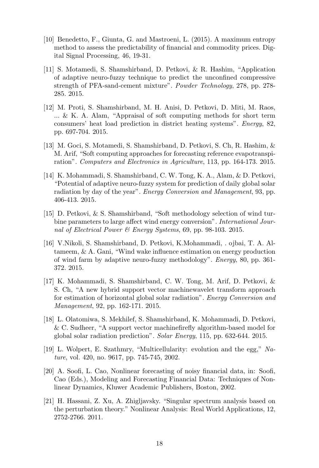- [10] Benedetto, F., Giunta, G. and Mastroeni, L. (2015). A maximum entropy method to assess the predictability of financial and commodity prices. Digital Signal Processing, 46, 19-31.
- [11] S. Motamedi, S. Shamshirband, D. Petkovi, & R. Hashim, "Application of adaptive neuro-fuzzy technique to predict the unconfined compressive strength of PFA-sand-cement mixture". Powder Technology, 278, pp. 278- 285. 2015.
- [12] M. Proti, S. Shamshirband, M. H. Anisi, D. Petkovi, D. Miti, M. Raos, ... & K. A. Alam, "Appraisal of soft computing methods for short term consumers' heat load prediction in district heating systems". Energy, 82, pp. 697-704. 2015.
- [13] M. Goci, S. Motamedi, S. Shamshirband, D. Petkovi, S. Ch, R. Hashim, & M. Arif, "Soft computing approaches for forecasting reference evapotranspiration". Computers and Electronics in Agriculture, 113, pp. 164-173. 2015.
- [14] K. Mohammadi, S. Shamshirband, C. W. Tong, K. A., Alam, & D. Petkovi, "Potential of adaptive neuro-fuzzy system for prediction of daily global solar radiation by day of the year". *Energy Conversion and Management*, 93, pp. 406-413. 2015.
- [15] D. Petkovi, & S. Shamshirband, "Soft methodology selection of wind turbine parameters to large affect wind energy conversion". International Journal of Electrical Power & Energy Systems, 69, pp. 98-103. 2015.
- [16] V.Nikoli, S. Shamshirband, D. Petkovi, K.Mohammadi, . ojbai, T. A. Altameem, & A. Gani, "Wind wake influence estimation on energy production of wind farm by adaptive neuro-fuzzy methodology". Energy, 80, pp. 361- 372. 2015.
- [17] K. Mohammadi, S. Shamshirband, C. W. Tong, M. Arif, D. Petkovi, & S. Ch, "A new hybrid support vector machinewavelet transform approach for estimation of horizontal global solar radiation". Energy Conversion and Management, 92, pp. 162-171. 2015.
- [18] L. Olatomiwa, S. Mekhilef, S. Shamshirband, K. Mohammadi, D. Petkovi, & C. Sudheer, "A support vector machinefirefly algorithm-based model for global solar radiation prediction". Solar Energy, 115, pp. 632-644. 2015.
- [19] L. Wolpert, E. Szathmry, "Multicellularity: evolution and the egg," Nature, vol. 420, no. 9617, pp. 745-745, 2002.
- [20] A. Soofi, L. Cao, Nonlinear forecasting of noisy financial data, in: Soofi, Cao (Eds.), Modeling and Forecasting Financial Data: Techniques of Nonlinear Dynamics, Kluwer Academic Publishers, Boston, 2002.
- [21] H. Hassani, Z. Xu, A. Zhigljavsky. "Singular spectrum analysis based on the perturbation theory." Nonlinear Analysis: Real World Applications, 12, 2752-2766. 2011.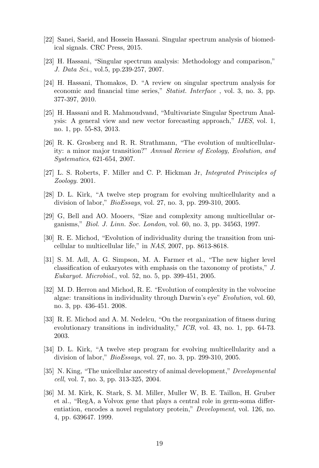- [22] Sanei, Saeid, and Hossein Hassani. Singular spectrum analysis of biomedical signals. CRC Press, 2015.
- [23] H. Hassani, "Singular spectrum analysis: Methodology and comparison," J. Data Sci., vol.5, pp.239-257, 2007.
- [24] H. Hassani, Thomakos, D. "A review on singular spectrum analysis for economic and financial time series," *Statist. Interface*, vol. 3, no. 3, pp. 377-397, 2010.
- [25] H. Hassani and R. Mahmoudvand, "Multivariate Singular Spectrum Analysis: A general view and new vector forecasting approach," IJES, vol. 1, no. 1, pp. 55-83, 2013.
- [26] R. K. Grosberg and R. R. Strathmann, "The evolution of multicellularity: a minor major transition?" Annual Review of Ecology, Evolution, and Systematics, 621-654, 2007.
- [27] L. S. Roberts, F. Miller and C. P. Hickman Jr, Integrated Principles of Zoology. 2001.
- [28] D. L. Kirk, "A twelve step program for evolving multicellularity and a division of labor," *BioEssays*, vol. 27, no. 3, pp. 299-310, 2005.
- [29] G, Bell and AO. Mooers, "Size and complexity among multicellular organisms," Biol. J. Linn. Soc. London, vol. 60, no. 3, pp. 34563, 1997.
- [30] R. E. Michod, "Evolution of individuality during the transition from unicellular to multicellular life," in NAS, 2007, pp. 8613-8618.
- [31] S. M. Adl, A. G. Simpson, M. A. Farmer et al., "The new higher level classification of eukaryotes with emphasis on the taxonomy of protists," J. Eukaryot. Microbiol., vol. 52, no. 5, pp. 399-451, 2005.
- [32] M. D. Herron and Michod, R. E. "Evolution of complexity in the volvocine algae: transitions in individuality through Darwin's eye" Evolution, vol. 60, no. 3, pp. 436-451. 2008.
- [33] R. E. Michod and A. M. Nedelcu, "On the reorganization of fitness during evolutionary transitions in individuality," ICB, vol. 43, no. 1, pp. 64-73. 2003.
- [34] D. L. Kirk, "A twelve step program for evolving multicellularity and a division of labor," BioEssays, vol. 27, no. 3, pp. 299-310, 2005.
- [35] N. King, "The unicellular ancestry of animal development," Developmental cell, vol. 7, no. 3, pp. 313-325, 2004.
- [36] M. M. Kirk, K. Stark, S. M. Miller, Muller W, B. E. Taillon, H. Gruber et al., "RegA, a Volvox gene that plays a central role in germ-soma differentiation, encodes a novel regulatory protein," *Development*, vol. 126, no. 4, pp. 639647. 1999.